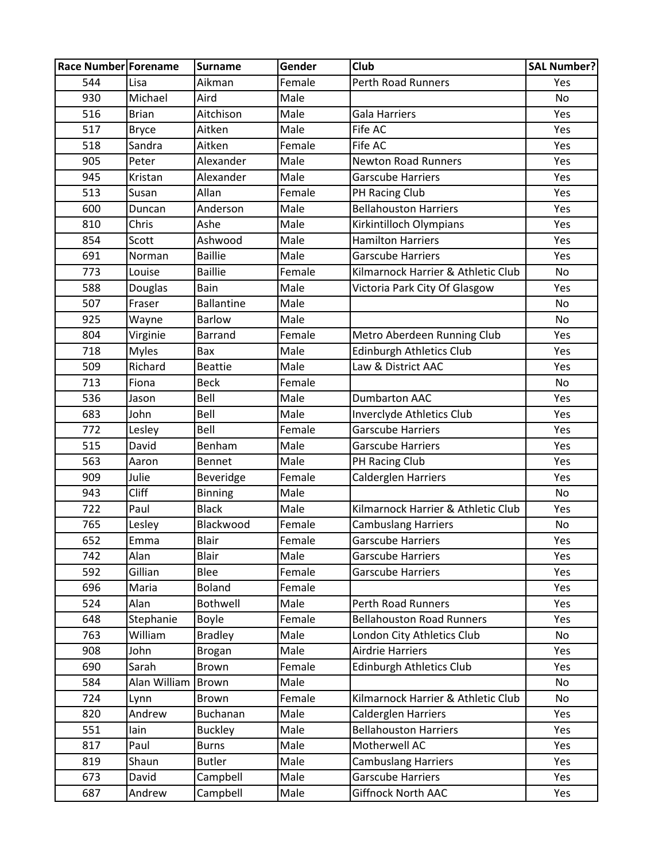| <b>Race Number Forename</b> |              | <b>Surname</b>    | Gender | <b>Club</b>                        | <b>SAL Number?</b> |
|-----------------------------|--------------|-------------------|--------|------------------------------------|--------------------|
| 544                         | Lisa         | Aikman            | Female | <b>Perth Road Runners</b>          | Yes                |
| 930                         | Michael      | Aird              | Male   |                                    | No                 |
| 516                         | <b>Brian</b> | Aitchison         | Male   | <b>Gala Harriers</b>               | Yes                |
| 517                         | <b>Bryce</b> | Aitken            | Male   | Fife AC                            | Yes                |
| 518                         | Sandra       | Aitken            | Female | Fife AC                            | Yes                |
| 905                         | Peter        | Alexander         | Male   | <b>Newton Road Runners</b>         | Yes                |
| 945                         | Kristan      | Alexander         | Male   | <b>Garscube Harriers</b>           | Yes                |
| 513                         | Susan        | Allan             | Female | PH Racing Club                     | Yes                |
| 600                         | Duncan       | Anderson          | Male   | <b>Bellahouston Harriers</b>       | Yes                |
| 810                         | Chris        | Ashe              | Male   | Kirkintilloch Olympians            | Yes                |
| 854                         | Scott        | Ashwood           | Male   | <b>Hamilton Harriers</b>           | Yes                |
| 691                         | Norman       | <b>Baillie</b>    | Male   | <b>Garscube Harriers</b>           | Yes                |
| 773                         | Louise       | <b>Baillie</b>    | Female | Kilmarnock Harrier & Athletic Club | No                 |
| 588                         | Douglas      | <b>Bain</b>       | Male   | Victoria Park City Of Glasgow      | Yes                |
| 507                         | Fraser       | <b>Ballantine</b> | Male   |                                    | No                 |
| 925                         | Wayne        | <b>Barlow</b>     | Male   |                                    | No                 |
| 804                         | Virginie     | <b>Barrand</b>    | Female | Metro Aberdeen Running Club        | Yes                |
| 718                         | <b>Myles</b> | Bax               | Male   | <b>Edinburgh Athletics Club</b>    | Yes                |
| 509                         | Richard      | <b>Beattie</b>    | Male   | Law & District AAC                 | Yes                |
| 713                         | Fiona        | <b>Beck</b>       | Female |                                    | No                 |
| 536                         | Jason        | Bell              | Male   | <b>Dumbarton AAC</b>               | Yes                |
| 683                         | John         | Bell              | Male   | Inverclyde Athletics Club          | Yes                |
| 772                         | Lesley       | Bell              | Female | <b>Garscube Harriers</b>           | Yes                |
| 515                         | David        | Benham            | Male   | <b>Garscube Harriers</b>           | Yes                |
| 563                         | Aaron        | <b>Bennet</b>     | Male   | PH Racing Club                     | Yes                |
| 909                         | Julie        | Beveridge         | Female | Calderglen Harriers                | Yes                |
| 943                         | Cliff        | <b>Binning</b>    | Male   |                                    | <b>No</b>          |
| 722                         | Paul         | <b>Black</b>      | Male   | Kilmarnock Harrier & Athletic Club | Yes                |
| 765                         | Lesley       | Blackwood         | Female | <b>Cambuslang Harriers</b>         | No                 |
| 652                         | Emma         | Blair             | Female | <b>Garscube Harriers</b>           | Yes                |
| 742                         | Alan         | Blair             | Male   | <b>Garscube Harriers</b>           | Yes                |
| 592                         | Gillian      | Blee              | Female | <b>Garscube Harriers</b>           | Yes                |
| 696                         | Maria        | <b>Boland</b>     | Female |                                    | Yes                |
| 524                         | Alan         | Bothwell          | Male   | <b>Perth Road Runners</b>          | Yes                |
| 648                         | Stephanie    | Boyle             | Female | <b>Bellahouston Road Runners</b>   | Yes                |
| 763                         | William      | <b>Bradley</b>    | Male   | London City Athletics Club         | No                 |
| 908                         | John         | <b>Brogan</b>     | Male   | <b>Airdrie Harriers</b>            | Yes                |
| 690                         | Sarah        | Brown             | Female | Edinburgh Athletics Club           | Yes                |
| 584                         | Alan William | <b>Brown</b>      | Male   |                                    | No                 |
| 724                         | Lynn         | Brown             | Female | Kilmarnock Harrier & Athletic Club | No                 |
| 820                         | Andrew       | Buchanan          | Male   | <b>Calderglen Harriers</b>         | Yes                |
| 551                         | lain         | <b>Buckley</b>    | Male   | <b>Bellahouston Harriers</b>       | Yes                |
| 817                         | Paul         | <b>Burns</b>      | Male   | Motherwell AC                      | Yes                |
| 819                         | Shaun        | <b>Butler</b>     | Male   | <b>Cambuslang Harriers</b>         | Yes                |
| 673                         | David        | Campbell          | Male   | <b>Garscube Harriers</b>           | Yes                |
| 687                         | Andrew       | Campbell          | Male   | Giffnock North AAC                 | Yes                |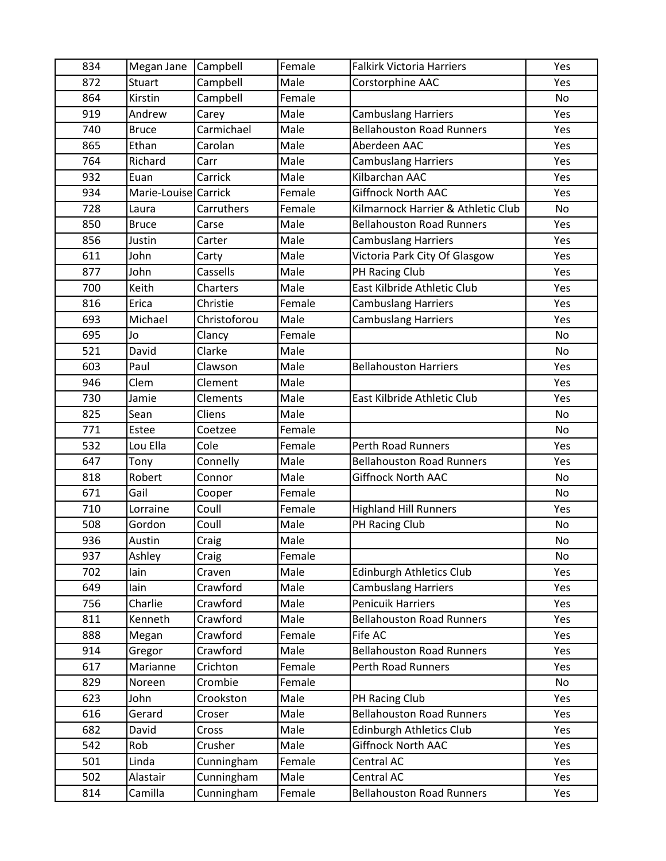| 834 | Megan Jane           | Campbell     | Female | <b>Falkirk Victoria Harriers</b>   | Yes       |
|-----|----------------------|--------------|--------|------------------------------------|-----------|
| 872 | <b>Stuart</b>        | Campbell     | Male   | Corstorphine AAC                   | Yes       |
| 864 | Kirstin              | Campbell     | Female |                                    | No        |
| 919 | Andrew               | Carey        | Male   | <b>Cambuslang Harriers</b>         | Yes       |
| 740 | <b>Bruce</b>         | Carmichael   | Male   | <b>Bellahouston Road Runners</b>   | Yes       |
| 865 | Ethan                | Carolan      | Male   | Aberdeen AAC                       | Yes       |
| 764 | Richard              | Carr         | Male   | <b>Cambuslang Harriers</b>         | Yes       |
| 932 | Euan                 | Carrick      | Male   | Kilbarchan AAC                     | Yes       |
| 934 | Marie-Louise Carrick |              | Female | <b>Giffnock North AAC</b>          | Yes       |
| 728 | Laura                | Carruthers   | Female | Kilmarnock Harrier & Athletic Club | No        |
| 850 | <b>Bruce</b>         | Carse        | Male   | <b>Bellahouston Road Runners</b>   | Yes       |
| 856 | Justin               | Carter       | Male   | <b>Cambuslang Harriers</b>         | Yes       |
| 611 | John                 | Carty        | Male   | Victoria Park City Of Glasgow      | Yes       |
| 877 | John                 | Cassells     | Male   | PH Racing Club                     | Yes       |
| 700 | Keith                | Charters     | Male   | East Kilbride Athletic Club        | Yes       |
| 816 | Erica                | Christie     | Female | <b>Cambuslang Harriers</b>         | Yes       |
| 693 | Michael              | Christoforou | Male   | <b>Cambuslang Harriers</b>         | Yes       |
| 695 | Jo                   | Clancy       | Female |                                    | No        |
| 521 | David                | Clarke       | Male   |                                    | No        |
| 603 | Paul                 | Clawson      | Male   | <b>Bellahouston Harriers</b>       | Yes       |
| 946 | Clem                 | Clement      | Male   |                                    | Yes       |
| 730 | Jamie                | Clements     | Male   | East Kilbride Athletic Club        | Yes       |
| 825 | Sean                 | Cliens       | Male   |                                    | <b>No</b> |
| 771 | Estee                | Coetzee      | Female |                                    | No        |
| 532 | Lou Ella             | Cole         | Female | Perth Road Runners                 | Yes       |
| 647 | Tony                 | Connelly     | Male   | <b>Bellahouston Road Runners</b>   | Yes       |
| 818 | Robert               | Connor       | Male   | <b>Giffnock North AAC</b>          | <b>No</b> |
| 671 | Gail                 | Cooper       | Female |                                    | No        |
| 710 | Lorraine             | Coull        | Female | <b>Highland Hill Runners</b>       | Yes       |
| 508 | Gordon               | Coull        | Male   | PH Racing Club                     | No        |
| 936 | Austin               | Craig        | Male   |                                    | No        |
| 937 | Ashley               | Craig        | Female |                                    | No        |
| 702 | lain                 | Craven       | Male   | <b>Edinburgh Athletics Club</b>    | Yes       |
| 649 | lain                 | Crawford     | Male   | <b>Cambuslang Harriers</b>         | Yes       |
| 756 | Charlie              | Crawford     | Male   | <b>Penicuik Harriers</b>           | Yes       |
| 811 | Kenneth              | Crawford     | Male   | <b>Bellahouston Road Runners</b>   | Yes       |
| 888 | Megan                | Crawford     | Female | Fife AC                            | Yes       |
| 914 | Gregor               | Crawford     | Male   | <b>Bellahouston Road Runners</b>   | Yes       |
| 617 | Marianne             | Crichton     | Female | Perth Road Runners                 | Yes       |
| 829 | Noreen               | Crombie      | Female |                                    | No        |
| 623 | John                 | Crookston    | Male   | PH Racing Club                     | Yes       |
| 616 | Gerard               | Croser       | Male   | <b>Bellahouston Road Runners</b>   | Yes       |
| 682 | David                | Cross        | Male   | <b>Edinburgh Athletics Club</b>    | Yes       |
| 542 | Rob                  | Crusher      | Male   | <b>Giffnock North AAC</b>          | Yes       |
| 501 | Linda                | Cunningham   | Female | Central AC                         | Yes       |
| 502 | Alastair             | Cunningham   | Male   | Central AC                         | Yes       |
| 814 | Camilla              | Cunningham   | Female | <b>Bellahouston Road Runners</b>   | Yes       |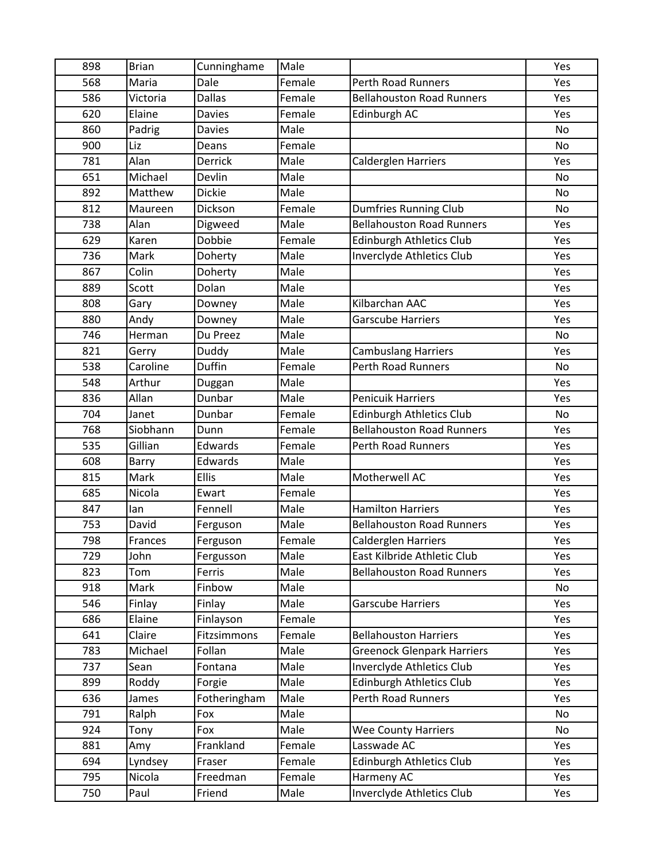| 898 | <b>Brian</b> | Cunninghame    | Male   |                                   | Yes       |
|-----|--------------|----------------|--------|-----------------------------------|-----------|
| 568 | Maria        | Dale           | Female | Perth Road Runners                | Yes       |
| 586 | Victoria     | <b>Dallas</b>  | Female | <b>Bellahouston Road Runners</b>  | Yes       |
| 620 | Elaine       | <b>Davies</b>  | Female | Edinburgh AC                      | Yes       |
| 860 | Padrig       | <b>Davies</b>  | Male   |                                   | <b>No</b> |
| 900 | Liz          | Deans          | Female |                                   | No        |
| 781 | Alan         | <b>Derrick</b> | Male   | Calderglen Harriers               | Yes       |
| 651 | Michael      | Devlin         | Male   |                                   | No        |
| 892 | Matthew      | <b>Dickie</b>  | Male   |                                   | <b>No</b> |
| 812 | Maureen      | Dickson        | Female | Dumfries Running Club             | No        |
| 738 | Alan         | Digweed        | Male   | <b>Bellahouston Road Runners</b>  | Yes       |
| 629 | Karen        | Dobbie         | Female | Edinburgh Athletics Club          | Yes       |
| 736 | Mark         | Doherty        | Male   | Inverclyde Athletics Club         | Yes       |
| 867 | Colin        | Doherty        | Male   |                                   | Yes       |
| 889 | Scott        | Dolan          | Male   |                                   | Yes       |
| 808 | Gary         | Downey         | Male   | Kilbarchan AAC                    | Yes       |
| 880 | Andy         | Downey         | Male   | <b>Garscube Harriers</b>          | Yes       |
| 746 | Herman       | Du Preez       | Male   |                                   | <b>No</b> |
| 821 | Gerry        | Duddy          | Male   | <b>Cambuslang Harriers</b>        | Yes       |
| 538 | Caroline     | Duffin         | Female | <b>Perth Road Runners</b>         | No        |
| 548 | Arthur       | Duggan         | Male   |                                   | Yes       |
| 836 | Allan        | Dunbar         | Male   | <b>Penicuik Harriers</b>          | Yes       |
| 704 | Janet        | Dunbar         | Female | <b>Edinburgh Athletics Club</b>   | <b>No</b> |
| 768 | Siobhann     | Dunn           | Female | <b>Bellahouston Road Runners</b>  | Yes       |
| 535 | Gillian      | Edwards        | Female | Perth Road Runners                | Yes       |
| 608 | Barry        | Edwards        | Male   |                                   | Yes       |
| 815 | Mark         | Ellis          | Male   | Motherwell AC                     | Yes       |
| 685 | Nicola       | Ewart          | Female |                                   | Yes       |
| 847 | lan          | Fennell        | Male   | <b>Hamilton Harriers</b>          | Yes       |
| 753 | David        | Ferguson       | Male   | <b>Bellahouston Road Runners</b>  | Yes       |
| 798 | Frances      | Ferguson       | Female | <b>Calderglen Harriers</b>        | Yes       |
| 729 | John         | Fergusson      | Male   | East Kilbride Athletic Club       | Yes       |
| 823 | Tom          | Ferris         | Male   | <b>Bellahouston Road Runners</b>  | Yes       |
| 918 | Mark         | Finbow         | Male   |                                   | No        |
| 546 | Finlay       | Finlay         | Male   | <b>Garscube Harriers</b>          | Yes       |
| 686 | Elaine       | Finlayson      | Female |                                   | Yes       |
| 641 | Claire       | Fitzsimmons    | Female | <b>Bellahouston Harriers</b>      | Yes       |
| 783 | Michael      | Follan         | Male   | <b>Greenock Glenpark Harriers</b> | Yes       |
| 737 | Sean         | Fontana        | Male   | Inverclyde Athletics Club         | Yes       |
| 899 | Roddy        | Forgie         | Male   | Edinburgh Athletics Club          | Yes       |
| 636 | James        | Fotheringham   | Male   | Perth Road Runners                | Yes       |
| 791 | Ralph        | Fox            | Male   |                                   | No        |
| 924 | Tony         | Fox            | Male   | <b>Wee County Harriers</b>        | No        |
| 881 | Amy          | Frankland      | Female | Lasswade AC                       | Yes       |
| 694 | Lyndsey      | Fraser         | Female | <b>Edinburgh Athletics Club</b>   | Yes       |
| 795 | Nicola       | Freedman       | Female | Harmeny AC                        | Yes       |
| 750 | Paul         | Friend         | Male   | Inverclyde Athletics Club         | Yes       |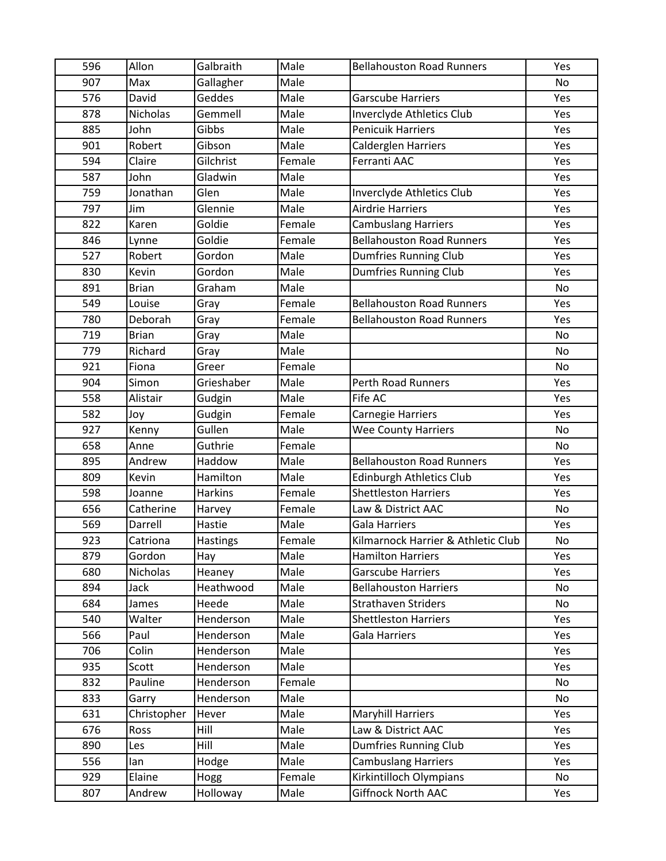| 596 | Allon           | Galbraith      | Male   | <b>Bellahouston Road Runners</b>   | Yes       |
|-----|-----------------|----------------|--------|------------------------------------|-----------|
| 907 | Max             | Gallagher      | Male   |                                    | No        |
| 576 | David           | Geddes         | Male   | <b>Garscube Harriers</b>           | Yes       |
| 878 | Nicholas        | Gemmell        | Male   | Inverclyde Athletics Club          | Yes       |
| 885 | John            | Gibbs          | Male   | <b>Penicuik Harriers</b>           | Yes       |
| 901 | Robert          | Gibson         | Male   | Calderglen Harriers                | Yes       |
| 594 | Claire          | Gilchrist      | Female | Ferranti AAC                       | Yes       |
| 587 | John            | Gladwin        | Male   |                                    | Yes       |
| 759 | Jonathan        | Glen           | Male   | Inverclyde Athletics Club          | Yes       |
| 797 | Jim             | Glennie        | Male   | <b>Airdrie Harriers</b>            | Yes       |
| 822 | Karen           | Goldie         | Female | <b>Cambuslang Harriers</b>         | Yes       |
| 846 | Lynne           | Goldie         | Female | <b>Bellahouston Road Runners</b>   | Yes       |
| 527 | Robert          | Gordon         | Male   | <b>Dumfries Running Club</b>       | Yes       |
| 830 | Kevin           | Gordon         | Male   | <b>Dumfries Running Club</b>       | Yes       |
| 891 | <b>Brian</b>    | Graham         | Male   |                                    | No        |
| 549 | Louise          | Gray           | Female | <b>Bellahouston Road Runners</b>   | Yes       |
| 780 | Deborah         | Gray           | Female | <b>Bellahouston Road Runners</b>   | Yes       |
| 719 | <b>Brian</b>    | Gray           | Male   |                                    | No        |
| 779 | Richard         | Gray           | Male   |                                    | No        |
| 921 | Fiona           | Greer          | Female |                                    | No        |
| 904 | Simon           | Grieshaber     | Male   | <b>Perth Road Runners</b>          | Yes       |
| 558 | Alistair        | Gudgin         | Male   | Fife AC                            | Yes       |
| 582 | Joy             | Gudgin         | Female | Carnegie Harriers                  | Yes       |
| 927 | Kenny           | Gullen         | Male   | <b>Wee County Harriers</b>         | <b>No</b> |
| 658 | Anne            | Guthrie        | Female |                                    | No        |
| 895 | Andrew          | Haddow         | Male   | <b>Bellahouston Road Runners</b>   | Yes       |
| 809 | Kevin           | Hamilton       | Male   | Edinburgh Athletics Club           | Yes       |
| 598 | Joanne          | <b>Harkins</b> | Female | <b>Shettleston Harriers</b>        | Yes       |
| 656 | Catherine       | Harvey         | Female | Law & District AAC                 | No        |
| 569 | Darrell         | Hastie         | Male   | <b>Gala Harriers</b>               | Yes       |
| 923 | Catriona        | Hastings       | Female | Kilmarnock Harrier & Athletic Club | No        |
| 879 | Gordon          | Hay            | Male   | <b>Hamilton Harriers</b>           | Yes       |
| 680 | <b>Nicholas</b> | Heaney         | Male   | <b>Garscube Harriers</b>           | Yes       |
| 894 | Jack            | Heathwood      | Male   | <b>Bellahouston Harriers</b>       | No        |
| 684 | James           | Heede          | Male   | <b>Strathaven Striders</b>         | No        |
| 540 | Walter          | Henderson      | Male   | <b>Shettleston Harriers</b>        | Yes       |
| 566 | Paul            | Henderson      | Male   | Gala Harriers                      | Yes       |
| 706 | Colin           | Henderson      | Male   |                                    | Yes       |
| 935 | Scott           | Henderson      | Male   |                                    | Yes       |
| 832 | Pauline         | Henderson      | Female |                                    | No        |
| 833 | Garry           | Henderson      | Male   |                                    | No        |
| 631 | Christopher     | Hever          | Male   | <b>Maryhill Harriers</b>           | Yes       |
| 676 | Ross            | Hill           | Male   | Law & District AAC                 | Yes       |
| 890 | Les             | Hill           | Male   | <b>Dumfries Running Club</b>       | Yes       |
| 556 | lan             | Hodge          | Male   | <b>Cambuslang Harriers</b>         | Yes       |
| 929 | Elaine          | Hogg           | Female | Kirkintilloch Olympians            | No        |
| 807 | Andrew          | Holloway       | Male   | Giffnock North AAC                 | Yes       |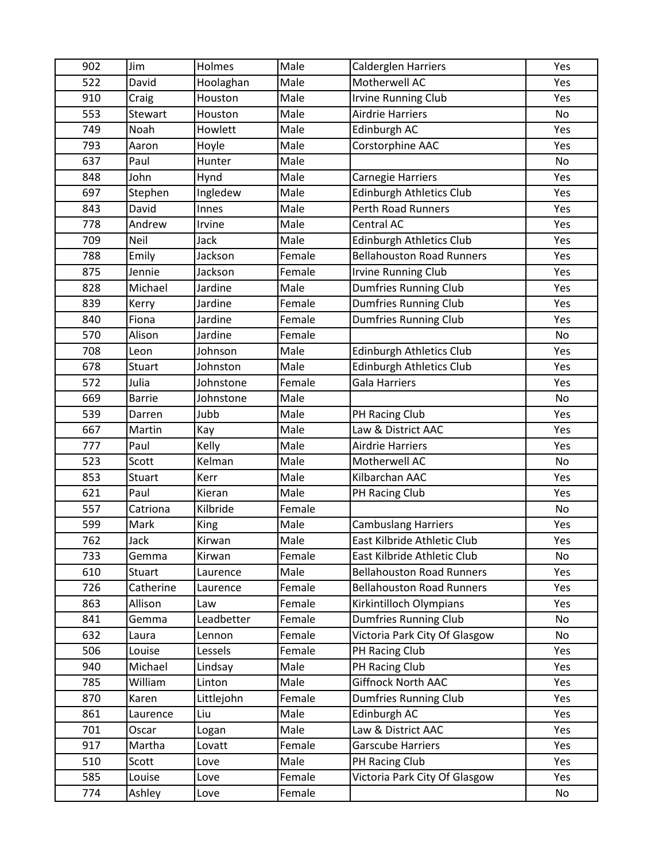| 902 | Jim           | Holmes     | Male   | Calderglen Harriers              | Yes |
|-----|---------------|------------|--------|----------------------------------|-----|
| 522 | David         | Hoolaghan  | Male   | Motherwell AC                    | Yes |
| 910 | Craig         | Houston    | Male   | <b>Irvine Running Club</b>       | Yes |
| 553 | Stewart       | Houston    | Male   | <b>Airdrie Harriers</b>          | No  |
| 749 | Noah          | Howlett    | Male   | Edinburgh AC                     | Yes |
| 793 | Aaron         | Hoyle      | Male   | Corstorphine AAC                 | Yes |
| 637 | Paul          | Hunter     | Male   |                                  | No  |
| 848 | John          | Hynd       | Male   | Carnegie Harriers                | Yes |
| 697 | Stephen       | Ingledew   | Male   | <b>Edinburgh Athletics Club</b>  | Yes |
| 843 | David         | Innes      | Male   | <b>Perth Road Runners</b>        | Yes |
| 778 | Andrew        | Irvine     | Male   | Central AC                       | Yes |
| 709 | Neil          | Jack       | Male   | <b>Edinburgh Athletics Club</b>  | Yes |
| 788 | Emily         | Jackson    | Female | <b>Bellahouston Road Runners</b> | Yes |
| 875 | Jennie        | Jackson    | Female | <b>Irvine Running Club</b>       | Yes |
| 828 | Michael       | Jardine    | Male   | Dumfries Running Club            | Yes |
| 839 | Kerry         | Jardine    | Female | <b>Dumfries Running Club</b>     | Yes |
| 840 | Fiona         | Jardine    | Female | <b>Dumfries Running Club</b>     | Yes |
| 570 | Alison        | Jardine    | Female |                                  | No  |
| 708 | Leon          | Johnson    | Male   | <b>Edinburgh Athletics Club</b>  | Yes |
| 678 | Stuart        | Johnston   | Male   | <b>Edinburgh Athletics Club</b>  | Yes |
| 572 | Julia         | Johnstone  | Female | Gala Harriers                    | Yes |
| 669 | <b>Barrie</b> | Johnstone  | Male   |                                  | No  |
| 539 | Darren        | Jubb       | Male   | PH Racing Club                   | Yes |
| 667 | Martin        | Kay        | Male   | Law & District AAC               | Yes |
| 777 | Paul          | Kelly      | Male   | <b>Airdrie Harriers</b>          | Yes |
| 523 | Scott         | Kelman     | Male   | Motherwell AC                    | No  |
| 853 | Stuart        | Kerr       | Male   | Kilbarchan AAC                   | Yes |
| 621 | Paul          | Kieran     | Male   | PH Racing Club                   | Yes |
| 557 | Catriona      | Kilbride   | Female |                                  | No  |
| 599 | Mark          | King       | Male   | <b>Cambuslang Harriers</b>       | Yes |
| 762 | Jack          | Kirwan     | Male   | East Kilbride Athletic Club      | Yes |
| 733 | Gemma         | Kirwan     | Female | East Kilbride Athletic Club      | No  |
| 610 | Stuart        | Laurence   | Male   | <b>Bellahouston Road Runners</b> | Yes |
| 726 | Catherine     | Laurence   | Female | <b>Bellahouston Road Runners</b> | Yes |
| 863 | Allison       | Law        | Female | Kirkintilloch Olympians          | Yes |
| 841 | Gemma         | Leadbetter | Female | <b>Dumfries Running Club</b>     | No  |
| 632 | Laura         | Lennon     | Female | Victoria Park City Of Glasgow    | No  |
| 506 | Louise        | Lessels    | Female | PH Racing Club                   | Yes |
| 940 | Michael       | Lindsay    | Male   | PH Racing Club                   | Yes |
| 785 | William       | Linton     | Male   | Giffnock North AAC               | Yes |
| 870 | Karen         | Littlejohn | Female | <b>Dumfries Running Club</b>     | Yes |
| 861 | Laurence      | Liu        | Male   | Edinburgh AC                     | Yes |
| 701 | Oscar         | Logan      | Male   | Law & District AAC               | Yes |
| 917 | Martha        | Lovatt     | Female | <b>Garscube Harriers</b>         | Yes |
| 510 | Scott         | Love       | Male   | PH Racing Club                   | Yes |
| 585 | Louise        | Love       | Female | Victoria Park City Of Glasgow    | Yes |
| 774 | Ashley        | Love       | Female |                                  | No  |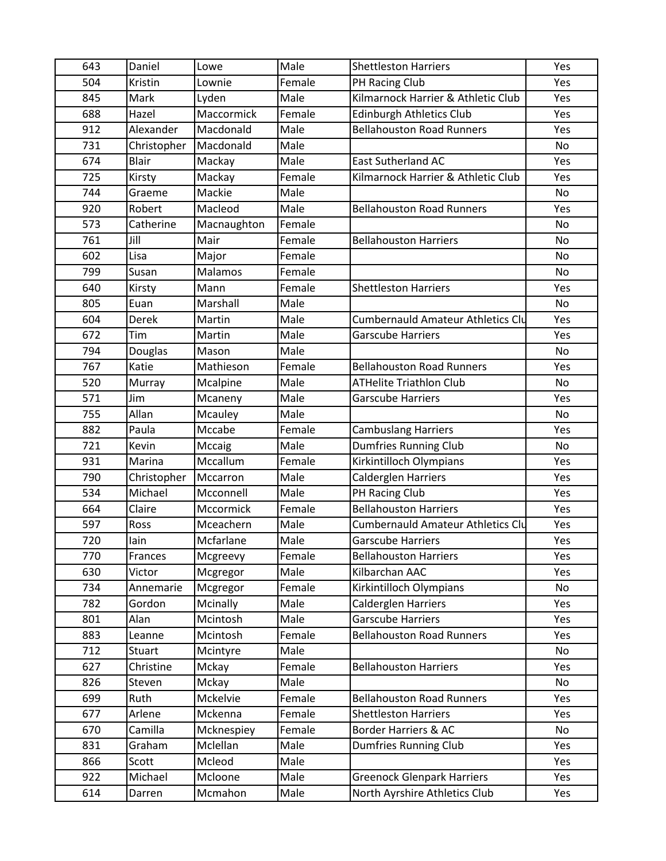| 643 | Daniel       | Lowe        | Male   | <b>Shettleston Harriers</b>              | Yes       |
|-----|--------------|-------------|--------|------------------------------------------|-----------|
| 504 | Kristin      | Lownie      | Female | PH Racing Club                           | Yes       |
| 845 | Mark         | Lyden       | Male   | Kilmarnock Harrier & Athletic Club       | Yes       |
| 688 | Hazel        | Maccormick  | Female | <b>Edinburgh Athletics Club</b>          | Yes       |
| 912 | Alexander    | Macdonald   | Male   | <b>Bellahouston Road Runners</b>         | Yes       |
| 731 | Christopher  | Macdonald   | Male   |                                          | No        |
| 674 | <b>Blair</b> | Mackay      | Male   | East Sutherland AC                       | Yes       |
| 725 | Kirsty       | Mackay      | Female | Kilmarnock Harrier & Athletic Club       | Yes       |
| 744 | Graeme       | Mackie      | Male   |                                          | <b>No</b> |
| 920 | Robert       | Macleod     | Male   | <b>Bellahouston Road Runners</b>         | Yes       |
| 573 | Catherine    | Macnaughton | Female |                                          | No        |
| 761 | Jill         | Mair        | Female | <b>Bellahouston Harriers</b>             | <b>No</b> |
| 602 | Lisa         | Major       | Female |                                          | No        |
| 799 | Susan        | Malamos     | Female |                                          | No        |
| 640 | Kirsty       | Mann        | Female | <b>Shettleston Harriers</b>              | Yes       |
| 805 | Euan         | Marshall    | Male   |                                          | No        |
| 604 | Derek        | Martin      | Male   | <b>Cumbernauld Amateur Athletics Clu</b> | Yes       |
| 672 | Tim          | Martin      | Male   | <b>Garscube Harriers</b>                 | Yes       |
| 794 | Douglas      | Mason       | Male   |                                          | No        |
| 767 | Katie        | Mathieson   | Female | <b>Bellahouston Road Runners</b>         | Yes       |
| 520 | Murray       | Mcalpine    | Male   | <b>ATHelite Triathlon Club</b>           | No        |
| 571 | Jim          | Mcaneny     | Male   | <b>Garscube Harriers</b>                 | Yes       |
| 755 | Allan        | Mcauley     | Male   |                                          | No        |
| 882 | Paula        | Mccabe      | Female | <b>Cambuslang Harriers</b>               | Yes       |
| 721 | Kevin        | Mccaig      | Male   | Dumfries Running Club                    | No        |
| 931 | Marina       | Mccallum    | Female | Kirkintilloch Olympians                  | Yes       |
| 790 | Christopher  | Mccarron    | Male   | <b>Calderglen Harriers</b>               | Yes       |
| 534 | Michael      | Mcconnell   | Male   | PH Racing Club                           | Yes       |
| 664 | Claire       | Mccormick   | Female | <b>Bellahouston Harriers</b>             | Yes       |
| 597 | Ross         | Mceachern   | Male   | <b>Cumbernauld Amateur Athletics Clu</b> | Yes       |
| 720 | lain         | Mcfarlane   | Male   | <b>Garscube Harriers</b>                 | Yes       |
| 770 | Frances      | Mcgreevy    | Female | <b>Bellahouston Harriers</b>             | Yes       |
| 630 | Victor       | Mcgregor    | Male   | Kilbarchan AAC                           | Yes       |
| 734 | Annemarie    | Mcgregor    | Female | Kirkintilloch Olympians                  | No        |
| 782 | Gordon       | Mcinally    | Male   | <b>Calderglen Harriers</b>               | Yes       |
| 801 | Alan         | Mcintosh    | Male   | <b>Garscube Harriers</b>                 | Yes       |
| 883 | Leanne       | Mcintosh    | Female | <b>Bellahouston Road Runners</b>         | Yes       |
| 712 | Stuart       | Mcintyre    | Male   |                                          | No        |
| 627 | Christine    | Mckay       | Female | <b>Bellahouston Harriers</b>             | Yes       |
| 826 | Steven       | Mckay       | Male   |                                          | No        |
| 699 | Ruth         | Mckelvie    | Female | <b>Bellahouston Road Runners</b>         | Yes       |
| 677 | Arlene       | Mckenna     | Female | <b>Shettleston Harriers</b>              | Yes       |
| 670 | Camilla      | Mcknespiey  | Female | Border Harriers & AC                     | No        |
| 831 | Graham       | Mclellan    | Male   | Dumfries Running Club                    | Yes       |
| 866 | Scott        | Mcleod      | Male   |                                          | Yes       |
| 922 | Michael      | Mcloone     | Male   | <b>Greenock Glenpark Harriers</b>        | Yes       |
| 614 | Darren       | Mcmahon     | Male   | North Ayrshire Athletics Club            | Yes       |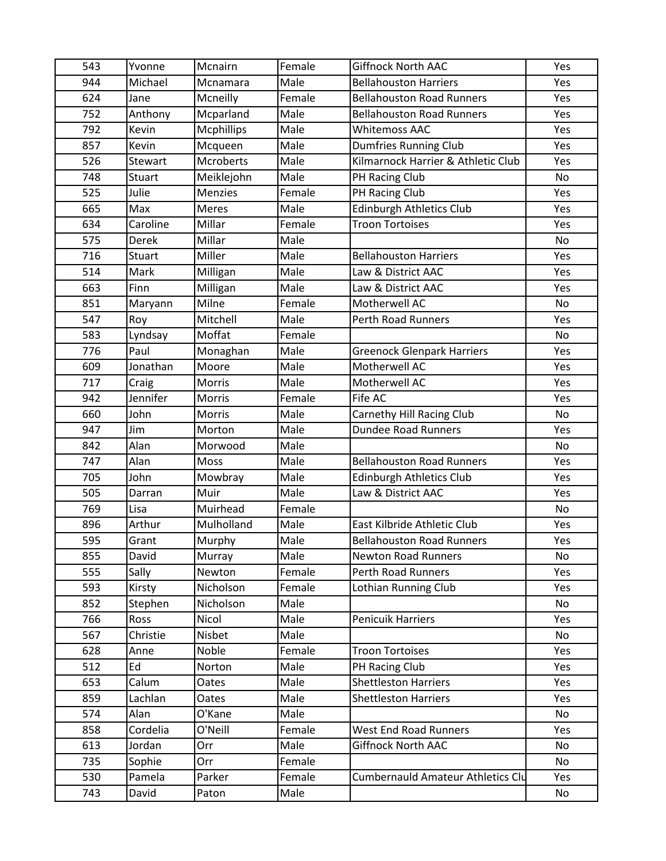| 543 | Yvonne        | Mcnairn           | Female | <b>Giffnock North AAC</b>                | Yes |
|-----|---------------|-------------------|--------|------------------------------------------|-----|
| 944 | Michael       | Mcnamara          | Male   | <b>Bellahouston Harriers</b>             | Yes |
| 624 | Jane          | Mcneilly          | Female | <b>Bellahouston Road Runners</b>         | Yes |
| 752 | Anthony       | Mcparland         | Male   | <b>Bellahouston Road Runners</b>         | Yes |
| 792 | Kevin         | <b>Mcphillips</b> | Male   | <b>Whitemoss AAC</b>                     | Yes |
| 857 | Kevin         | Mcqueen           | Male   | <b>Dumfries Running Club</b>             | Yes |
| 526 | Stewart       | Mcroberts         | Male   | Kilmarnock Harrier & Athletic Club       | Yes |
| 748 | <b>Stuart</b> | Meiklejohn        | Male   | PH Racing Club                           | No  |
| 525 | Julie         | Menzies           | Female | PH Racing Club                           | Yes |
| 665 | Max           | <b>Meres</b>      | Male   | <b>Edinburgh Athletics Club</b>          | Yes |
| 634 | Caroline      | Millar            | Female | <b>Troon Tortoises</b>                   | Yes |
| 575 | Derek         | Millar            | Male   |                                          | No  |
| 716 | <b>Stuart</b> | Miller            | Male   | <b>Bellahouston Harriers</b>             | Yes |
| 514 | Mark          | Milligan          | Male   | Law & District AAC                       | Yes |
| 663 | Finn          | Milligan          | Male   | Law & District AAC                       | Yes |
| 851 | Maryann       | Milne             | Female | Motherwell AC                            | No  |
| 547 | Roy           | Mitchell          | Male   | <b>Perth Road Runners</b>                | Yes |
| 583 | Lyndsay       | Moffat            | Female |                                          | No  |
| 776 | Paul          | Monaghan          | Male   | <b>Greenock Glenpark Harriers</b>        | Yes |
| 609 | Jonathan      | Moore             | Male   | Motherwell AC                            | Yes |
| 717 | Craig         | Morris            | Male   | Motherwell AC                            | Yes |
| 942 | Jennifer      | Morris            | Female | Fife AC                                  | Yes |
| 660 | John          | Morris            | Male   | Carnethy Hill Racing Club                | No  |
| 947 | Jim           | Morton            | Male   | <b>Dundee Road Runners</b>               | Yes |
| 842 | Alan          | Morwood           | Male   |                                          | No  |
| 747 | Alan          | Moss              | Male   | <b>Bellahouston Road Runners</b>         | Yes |
| 705 | John          | Mowbray           | Male   | Edinburgh Athletics Club                 | Yes |
| 505 | Darran        | Muir              | Male   | Law & District AAC                       | Yes |
| 769 | Lisa          | Muirhead          | Female |                                          | No  |
| 896 | Arthur        | Mulholland        | Male   | East Kilbride Athletic Club              | Yes |
| 595 | Grant         | Murphy            | Male   | <b>Bellahouston Road Runners</b>         | Yes |
| 855 | David         | Murray            | Male   | <b>Newton Road Runners</b>               | No  |
| 555 | Sally         | Newton            | Female | <b>Perth Road Runners</b>                | Yes |
| 593 | Kirsty        | Nicholson         | Female | Lothian Running Club                     | Yes |
| 852 | Stephen       | Nicholson         | Male   |                                          | No  |
| 766 | Ross          | Nicol             | Male   | <b>Penicuik Harriers</b>                 | Yes |
| 567 | Christie      | Nisbet            | Male   |                                          | No  |
| 628 | Anne          | Noble             | Female | <b>Troon Tortoises</b>                   | Yes |
| 512 | Ed            | Norton            | Male   | PH Racing Club                           | Yes |
| 653 | Calum         | Oates             | Male   | <b>Shettleston Harriers</b>              | Yes |
| 859 | Lachlan       | Oates             | Male   | <b>Shettleston Harriers</b>              | Yes |
| 574 | Alan          | O'Kane            | Male   |                                          | No  |
| 858 | Cordelia      | O'Neill           | Female | <b>West End Road Runners</b>             | Yes |
| 613 | Jordan        | Orr               | Male   | <b>Giffnock North AAC</b>                | No  |
| 735 | Sophie        | Orr               | Female |                                          | No  |
| 530 | Pamela        | Parker            | Female | <b>Cumbernauld Amateur Athletics Clu</b> | Yes |
| 743 | David         | Paton             | Male   |                                          | No  |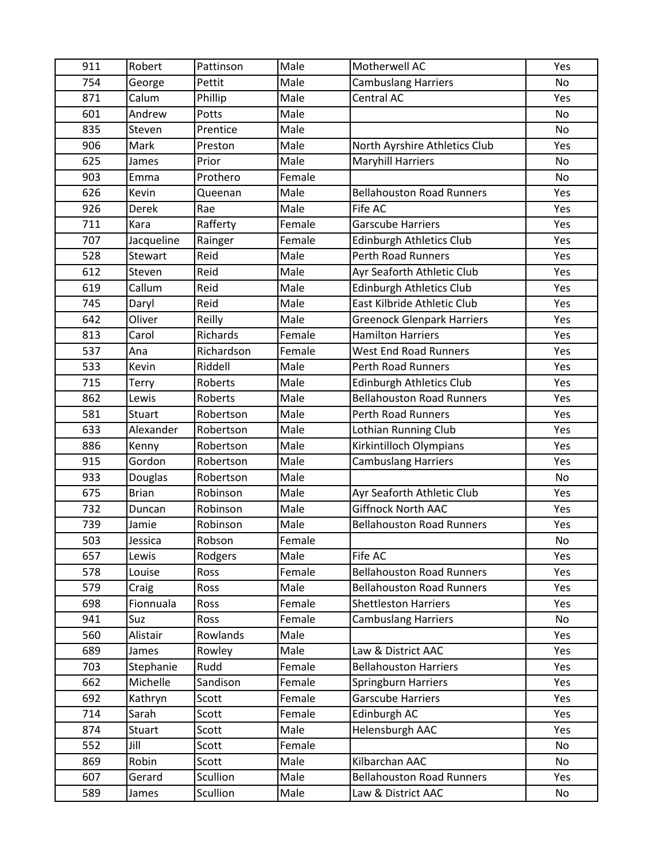| 911 | Robert        | Pattinson  | Male   | Motherwell AC                     | Yes       |
|-----|---------------|------------|--------|-----------------------------------|-----------|
| 754 | George        | Pettit     | Male   | <b>Cambuslang Harriers</b>        | <b>No</b> |
| 871 | Calum         | Phillip    | Male   | Central AC                        | Yes       |
| 601 | Andrew        | Potts      | Male   |                                   | No        |
| 835 | Steven        | Prentice   | Male   |                                   | No        |
| 906 | Mark          | Preston    | Male   | North Ayrshire Athletics Club     | Yes       |
| 625 | James         | Prior      | Male   | <b>Maryhill Harriers</b>          | No        |
| 903 | Emma          | Prothero   | Female |                                   | No        |
| 626 | Kevin         | Queenan    | Male   | <b>Bellahouston Road Runners</b>  | Yes       |
| 926 | <b>Derek</b>  | Rae        | Male   | Fife AC                           | Yes       |
| 711 | Kara          | Rafferty   | Female | <b>Garscube Harriers</b>          | Yes       |
| 707 | Jacqueline    | Rainger    | Female | Edinburgh Athletics Club          | Yes       |
| 528 | Stewart       | Reid       | Male   | <b>Perth Road Runners</b>         | Yes       |
| 612 | Steven        | Reid       | Male   | Ayr Seaforth Athletic Club        | Yes       |
| 619 | Callum        | Reid       | Male   | <b>Edinburgh Athletics Club</b>   | Yes       |
| 745 | Daryl         | Reid       | Male   | East Kilbride Athletic Club       | Yes       |
| 642 | Oliver        | Reilly     | Male   | <b>Greenock Glenpark Harriers</b> | Yes       |
| 813 | Carol         | Richards   | Female | <b>Hamilton Harriers</b>          | Yes       |
| 537 | Ana           | Richardson | Female | <b>West End Road Runners</b>      | Yes       |
| 533 | Kevin         | Riddell    | Male   | <b>Perth Road Runners</b>         | Yes       |
| 715 | Terry         | Roberts    | Male   | Edinburgh Athletics Club          | Yes       |
| 862 | Lewis         | Roberts    | Male   | <b>Bellahouston Road Runners</b>  | Yes       |
| 581 | <b>Stuart</b> | Robertson  | Male   | Perth Road Runners                | Yes       |
| 633 | Alexander     | Robertson  | Male   | <b>Lothian Running Club</b>       | Yes       |
| 886 | Kenny         | Robertson  | Male   | Kirkintilloch Olympians           | Yes       |
| 915 | Gordon        | Robertson  | Male   | <b>Cambuslang Harriers</b>        | Yes       |
| 933 | Douglas       | Robertson  | Male   |                                   | No        |
| 675 | <b>Brian</b>  | Robinson   | Male   | Ayr Seaforth Athletic Club        | Yes       |
| 732 | Duncan        | Robinson   | Male   | <b>Giffnock North AAC</b>         | Yes       |
| 739 | Jamie         | Robinson   | Male   | <b>Bellahouston Road Runners</b>  | Yes       |
| 503 | Jessica       | Robson     | Female |                                   | No        |
| 657 | Lewis         | Rodgers    | Male   | Fife AC                           | Yes       |
| 578 | Louise        | Ross       | Female | <b>Bellahouston Road Runners</b>  | Yes       |
| 579 | Craig         | Ross       | Male   | <b>Bellahouston Road Runners</b>  | Yes       |
| 698 | Fionnuala     | Ross       | Female | <b>Shettleston Harriers</b>       | Yes       |
| 941 | Suz           | Ross       | Female | <b>Cambuslang Harriers</b>        | No        |
| 560 | Alistair      | Rowlands   | Male   |                                   | Yes       |
| 689 | James         | Rowley     | Male   | Law & District AAC                | Yes       |
| 703 | Stephanie     | Rudd       | Female | <b>Bellahouston Harriers</b>      | Yes       |
| 662 | Michelle      | Sandison   | Female | Springburn Harriers               | Yes       |
| 692 | Kathryn       | Scott      | Female | <b>Garscube Harriers</b>          | Yes       |
| 714 | Sarah         | Scott      | Female | Edinburgh AC                      | Yes       |
| 874 | Stuart        | Scott      | Male   | Helensburgh AAC                   | Yes       |
| 552 | Jill          | Scott      | Female |                                   | No        |
| 869 | Robin         | Scott      | Male   | Kilbarchan AAC                    | No        |
| 607 | Gerard        | Scullion   | Male   | <b>Bellahouston Road Runners</b>  | Yes       |
| 589 | James         | Scullion   | Male   | Law & District AAC                | No        |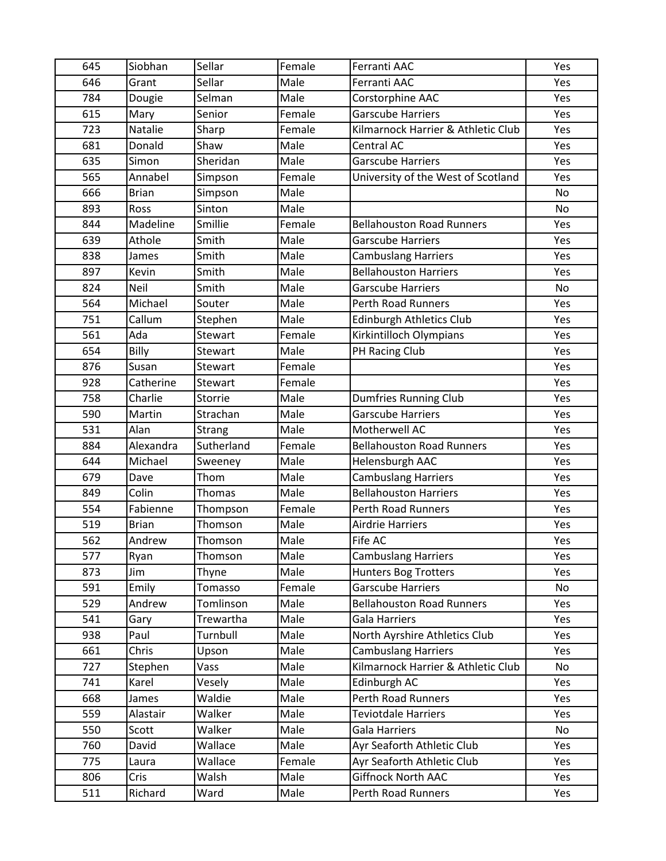| 645 | Siobhan      | Sellar     | Female | Ferranti AAC                       | Yes       |
|-----|--------------|------------|--------|------------------------------------|-----------|
| 646 | Grant        | Sellar     | Male   | Ferranti AAC                       | Yes       |
| 784 | Dougie       | Selman     | Male   | Corstorphine AAC                   | Yes       |
| 615 | Mary         | Senior     | Female | <b>Garscube Harriers</b>           | Yes       |
| 723 | Natalie      | Sharp      | Female | Kilmarnock Harrier & Athletic Club | Yes       |
| 681 | Donald       | Shaw       | Male   | Central AC                         | Yes       |
| 635 | Simon        | Sheridan   | Male   | <b>Garscube Harriers</b>           | Yes       |
| 565 | Annabel      | Simpson    | Female | University of the West of Scotland | Yes       |
| 666 | <b>Brian</b> | Simpson    | Male   |                                    | <b>No</b> |
| 893 | Ross         | Sinton     | Male   |                                    | No        |
| 844 | Madeline     | Smillie    | Female | <b>Bellahouston Road Runners</b>   | Yes       |
| 639 | Athole       | Smith      | Male   | <b>Garscube Harriers</b>           | Yes       |
| 838 | James        | Smith      | Male   | <b>Cambuslang Harriers</b>         | Yes       |
| 897 | Kevin        | Smith      | Male   | <b>Bellahouston Harriers</b>       | Yes       |
| 824 | Neil         | Smith      | Male   | <b>Garscube Harriers</b>           | No        |
| 564 | Michael      | Souter     | Male   | <b>Perth Road Runners</b>          | Yes       |
| 751 | Callum       | Stephen    | Male   | <b>Edinburgh Athletics Club</b>    | Yes       |
| 561 | Ada          | Stewart    | Female | Kirkintilloch Olympians            | Yes       |
| 654 | Billy        | Stewart    | Male   | PH Racing Club                     | Yes       |
| 876 | Susan        | Stewart    | Female |                                    | Yes       |
| 928 | Catherine    | Stewart    | Female |                                    | Yes       |
| 758 | Charlie      | Storrie    | Male   | <b>Dumfries Running Club</b>       | Yes       |
| 590 | Martin       | Strachan   | Male   | <b>Garscube Harriers</b>           | Yes       |
| 531 | Alan         | Strang     | Male   | Motherwell AC                      | Yes       |
| 884 | Alexandra    | Sutherland | Female | <b>Bellahouston Road Runners</b>   | Yes       |
| 644 | Michael      | Sweeney    | Male   | Helensburgh AAC                    | Yes       |
| 679 | Dave         | Thom       | Male   | <b>Cambuslang Harriers</b>         | Yes       |
| 849 | Colin        | Thomas     | Male   | <b>Bellahouston Harriers</b>       | Yes       |
| 554 | Fabienne     | Thompson   | Female | <b>Perth Road Runners</b>          | Yes       |
| 519 | <b>Brian</b> | Thomson    | Male   | <b>Airdrie Harriers</b>            | Yes       |
| 562 | Andrew       | Thomson    | Male   | Fife AC                            | Yes       |
| 577 | Ryan         | Thomson    | Male   | <b>Cambuslang Harriers</b>         | Yes       |
| 873 | Jim          | Thyne      | Male   | <b>Hunters Bog Trotters</b>        | Yes       |
| 591 | Emily        | Tomasso    | Female | <b>Garscube Harriers</b>           | No        |
| 529 | Andrew       | Tomlinson  | Male   | <b>Bellahouston Road Runners</b>   | Yes       |
| 541 | Gary         | Trewartha  | Male   | <b>Gala Harriers</b>               | Yes       |
| 938 | Paul         | Turnbull   | Male   | North Ayrshire Athletics Club      | Yes       |
| 661 | Chris        | Upson      | Male   | <b>Cambuslang Harriers</b>         | Yes       |
| 727 | Stephen      | Vass       | Male   | Kilmarnock Harrier & Athletic Club | No        |
| 741 | Karel        | Vesely     | Male   | Edinburgh AC                       | Yes       |
| 668 | James        | Waldie     | Male   | Perth Road Runners                 | Yes       |
| 559 | Alastair     | Walker     | Male   | <b>Teviotdale Harriers</b>         | Yes       |
| 550 | Scott        | Walker     | Male   | Gala Harriers                      | No        |
| 760 | David        | Wallace    | Male   | Ayr Seaforth Athletic Club         | Yes       |
| 775 | Laura        | Wallace    | Female | Ayr Seaforth Athletic Club         | Yes       |
| 806 | Cris         | Walsh      | Male   | <b>Giffnock North AAC</b>          | Yes       |
| 511 | Richard      | Ward       | Male   | Perth Road Runners                 | Yes       |